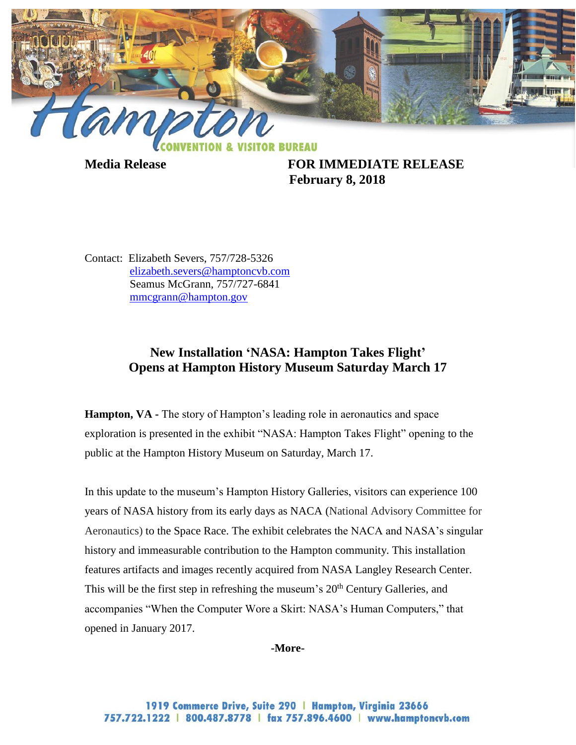

**Media Release FOR IMMEDIATE RELEASE February 8, 2018**

Contact: Elizabeth Severs, 757/728-5326 [elizabeth.severs@hamptoncvb.com](mailto:elizabeth.severs@hamptoncvb.com) Seamus McGrann, 757/727-6841 [mmcgrann@hampton.gov](mailto:mmcgrann@hampton.gov)

## **New Installation 'NASA: Hampton Takes Flight' Opens at Hampton History Museum Saturday March 17**

**Hampton, VA -** The story of Hampton's leading role in aeronautics and space exploration is presented in the exhibit "NASA: Hampton Takes Flight" opening to the public at the Hampton History Museum on Saturday, March 17.

In this update to the museum's Hampton History Galleries, visitors can experience 100 years of NASA history from its early days as NACA (National Advisory Committee for Aeronautics) to the Space Race. The exhibit celebrates the NACA and NASA's singular history and immeasurable contribution to the Hampton community. This installation features artifacts and images recently acquired from NASA Langley Research Center. This will be the first step in refreshing the museum's  $20<sup>th</sup>$  Century Galleries, and accompanies "When the Computer Wore a Skirt: NASA's Human Computers," that opened in January 2017.

**-More-**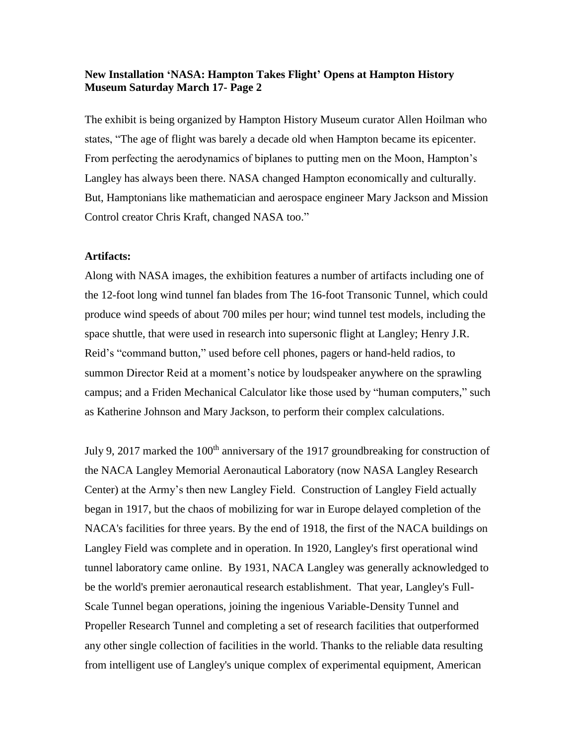## **New Installation 'NASA: Hampton Takes Flight' Opens at Hampton History Museum Saturday March 17- Page 2**

The exhibit is being organized by Hampton History Museum curator Allen Hoilman who states, "The age of flight was barely a decade old when Hampton became its epicenter. From perfecting the aerodynamics of biplanes to putting men on the Moon, Hampton's Langley has always been there. NASA changed Hampton economically and culturally. But, Hamptonians like mathematician and aerospace engineer Mary Jackson and Mission Control creator Chris Kraft, changed NASA too."

## **Artifacts:**

Along with NASA images, the exhibition features a number of artifacts including one of the 12-foot long wind tunnel fan blades from The 16-foot Transonic Tunnel, which could produce wind speeds of about 700 miles per hour; wind tunnel test models, including the space shuttle, that were used in research into supersonic flight at Langley; Henry J.R. Reid's "command button," used before cell phones, pagers or hand-held radios, to summon Director Reid at a moment's notice by loudspeaker anywhere on the sprawling campus; and a Friden Mechanical Calculator like those used by "human computers," such as Katherine Johnson and Mary Jackson, to perform their complex calculations.

July 9, 2017 marked the 100<sup>th</sup> anniversary of the 1917 groundbreaking for construction of the NACA Langley Memorial Aeronautical Laboratory (now NASA Langley Research Center) at the Army's then new Langley Field. Construction of Langley Field actually began in 1917, but the chaos of mobilizing for war in Europe delayed completion of the NACA's facilities for three years. By the end of 1918, the first of the NACA buildings on Langley Field was complete and in operation. In 1920, Langley's first operational wind tunnel laboratory came online. By 1931, NACA Langley was generally acknowledged to be the world's premier aeronautical research establishment. That year, Langley's Full-Scale Tunnel began operations, joining the ingenious Variable-Density Tunnel and Propeller Research Tunnel and completing a set of research facilities that outperformed any other single collection of facilities in the world. Thanks to the reliable data resulting from intelligent use of Langley's unique complex of experimental equipment, American